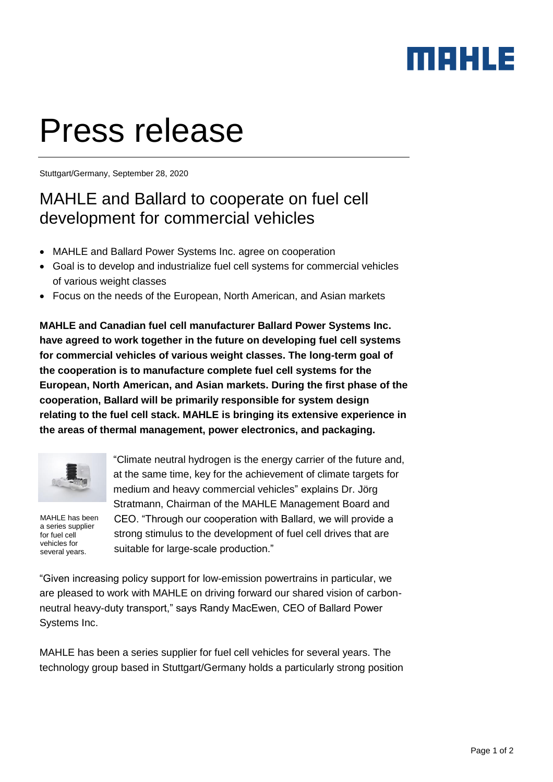## MAHLE

# Press release

Stuttgart/Germany, September 28, 2020

## MAHLE and Ballard to cooperate on fuel cell development for commercial vehicles

- MAHLE and Ballard Power Systems Inc. agree on cooperation
- Goal is to develop and industrialize fuel cell systems for commercial vehicles of various weight classes
- Focus on the needs of the European, North American, and Asian markets

**MAHLE and Canadian fuel cell manufacturer Ballard Power Systems Inc. have agreed to work together in the future on developing fuel cell systems for commercial vehicles of various weight classes. The long-term goal of the cooperation is to manufacture complete fuel cell systems for the European, North American, and Asian markets. During the first phase of the cooperation, Ballard will be primarily responsible for system design relating to the fuel cell stack. MAHLE is bringing its extensive experience in the areas of thermal management, power electronics, and packaging.** 



MAHLE has been a series supplier for fuel cell vehicles for several years.

"Climate neutral hydrogen is the energy carrier of the future and, at the same time, key for the achievement of climate targets for medium and heavy commercial vehicles" explains Dr. Jörg Stratmann, Chairman of the MAHLE Management Board and CEO. "Through our cooperation with Ballard, we will provide a strong stimulus to the development of fuel cell drives that are suitable for large-scale production."

"Given increasing policy support for low-emission powertrains in particular, we are pleased to work with MAHLE on driving forward our shared vision of carbonneutral heavy-duty transport," says Randy MacEwen, CEO of Ballard Power Systems Inc.

MAHLE has been a series supplier for fuel cell vehicles for several years. The technology group based in Stuttgart/Germany holds a particularly strong position